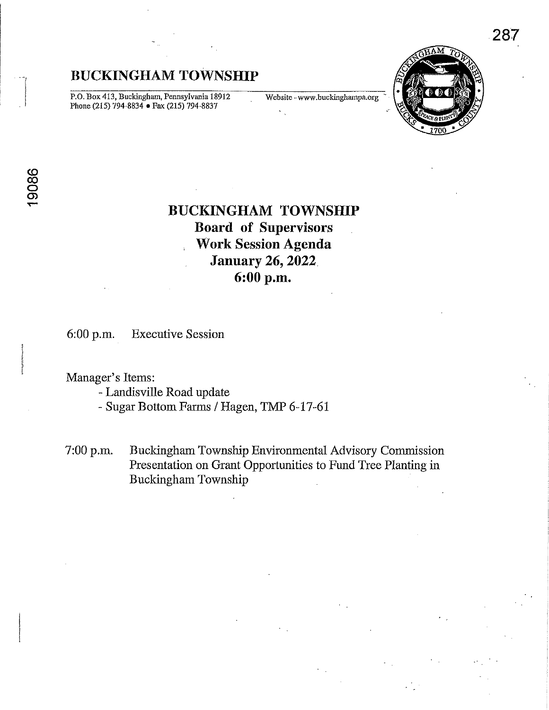# **BUCKINGHAM TOWNSHIP**

P.O. Box 413, Buckingham, Pennsylvania 18912 Website - www.buckinghampa.org Phone (215) 794-8834 • Fax (215) 794-8837



# **BUCKINGHAM TOWNSHIP Board of Supervisors Work Session Agenda January 26, 2022 6:00 p.m.**

6:00 p.m. Executive Session

## Manager's Items:

- Landisville Road update

- Sugar Bottom Farms / Hagen, TMP 6-17-61

7:00 p.m. Buckingham Township Environmental Advisory Commission Presentation on Grant Opportunities to Fund Tree Planting in Buckingham Township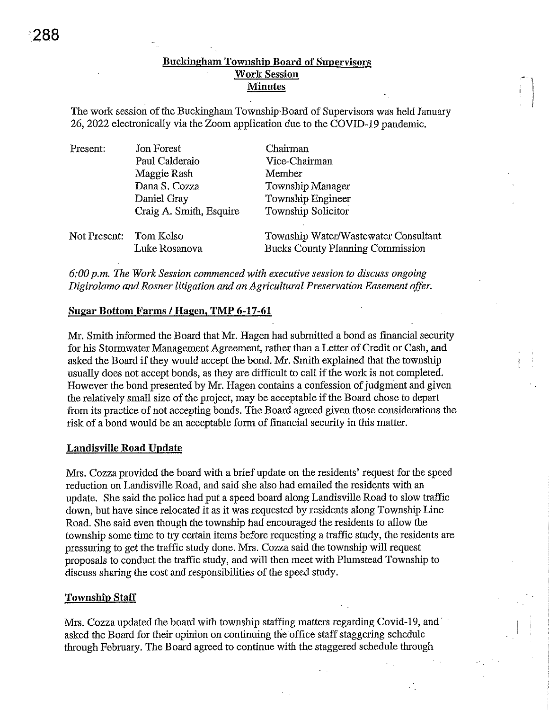### Buckingham Township Board of Supervisors Work Session **Minutes**

The work session of the Buckingham Township'Board of Supervisors was held January 26, 2022 electronically via the Zoom application due to the COVID-19 pandemic.

| Present:               | Jon Forest              | Chairman                                |
|------------------------|-------------------------|-----------------------------------------|
|                        | Paul Calderaio          | Vice-Chairman                           |
|                        | Maggie Rash             | Member                                  |
|                        | Dana S. Cozza           | Township Manager                        |
|                        | Daniel Gray             | Township Engineer                       |
|                        | Craig A. Smith, Esquire | Township Solicitor                      |
| Not Present: Tom Kelso |                         | Township Water/Wastewater Consultant    |
|                        | Luke Rosanova           | <b>Bucks County Planning Commission</b> |

*6:00 p.m. The Work Session commenced with executive session to discuss ongoing Digirolamo and Rosner litigation and an Agricultural Preservation Easement offer.* 

#### Sugar Bottom Farms / Hagen, TMP 6-17-61

Mr. Smith informed the Board that Mr. Hagen had submitted a bond as financial security for his Stormwater Management Agreement, rather than a Letter of Credit or Cash, and asked the Board if they would accept the bond. Mr. Smith explained that the township usually does not accept bonds, as they are difficult to call if the work is not completed. However the bond presented by Mr. Hagen contains a confession of judgment and given the relatively small size of the project, may be acceptable if the Board chose to depart from its practice of not accepting bonds. The Board agreed given those considerations the risk of a bond would be an acceptable form of financial security in this matter.

#### Landisville Road Update

Mrs. Cozza provided the board with a brief update on the residents' request for the speed reduction on Landisville Road, and said she also had emailed the residents with an update. She said the police had put a speed board along Landisville Road to slow traffic down, but have since relocated it as it was requested by residents along Township Line Road. She said even though the township had encouraged the residents to allow the township some time to try certain items before requesting a traffic study, the residents are pressuring to get the tmffic study done. Mrs. Cozza said the township will request proposals to conduct the traffic study, and will then meet with Plumstead Township to discuss sharing the cost and responsibilities of the speed study.

#### Township Staff

Mrs. Cozza updated the board with township staffing matters regarding Covid-19, and help asked the Board for their opinion on continuing the office staff staggering schedule through February. The Board agreed to continue with the staggered schedule through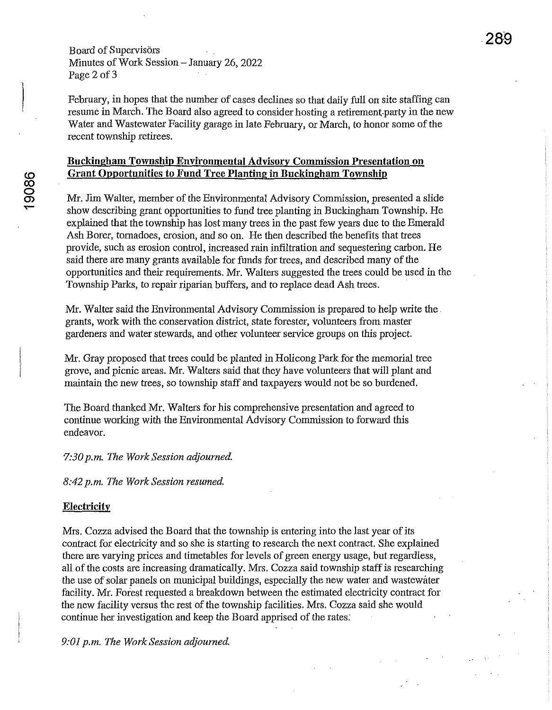Board of Supervisors Minutes of Work Session - January 26, 2022 Page 2 of 3

February, in hopes that the number of cases declines so that daily full on site staffing can resume in March. The Board also agreed to consider hosting a retirement-party in the new Water and Wastewater Facility garage in late February, or March, to honor some of the recent township retirees.

### **Buckingham Township Environmental Advisory Commission Presentation on Grant Opportunities to Fund Tree Planting in Buckingham Township**

Mr. Jim Walter, member of the Environmental Advisory Commissiou, presented a slide show describing grant opportunities to fund tree planting in Buckingham Township. He explained that the township has lost many trees in the past few years due to the Emerald Ash Borer, tornadoes, erosion, and so on. He then described the benefits that trees provide, such as erosion control, increased rain infiltration and sequestering carbon. He said there are many grants available for funds for trees, and described many of the opportunities and their requirements. Mr. Walters suggested the trees could be used in the Township Parks, to repair riparian buffers, and to replace dead Ash trees.

Mr. Walter said the Environmental Advisory Commission is prepared to help write the. grants, work with the conservation district, state forester, volunteers from master gardeners and water stewards, and other volunteer service groups on this project.

Mr. Gray proposed that trees could be planted in Holicong Park for the memorial tree grove, and picnic areas. Mr. Walters said that they have volunteers that will plant and maintain the new trees, so township staff and taxpayers would not be so burdened.

The Board thanked Mr. Waiters for his comprehensive presentation and agreed to continue working with the Environmental Advisory Commission to forward this endeavor.

*7:30 p.m. The Work Session adjourned.* 

*8:42 p.m. The Work Session resumed.* 

#### **Electricity**

Mrs. Cozza advised the Board that the township is entering into the last year of its contract for electricity and so she is starting to research the next contract. She explained there are varying prices and timetables for levels of green energy usage, but regardless, all of the costs are increasing dramatically. Mrs. Cozza said township staff is researching the use of solar panels on municipal buildings, especially the new water and wastewater facility. Mr. Forest requested a breakdown between the estimated electricity contract for the new facility versus the rest of the township facilities. Mrs. Cozza said she would continue her investigation and keep the Board apprised of the rates:

*9:01 p.m. The Work Session adjourned.*